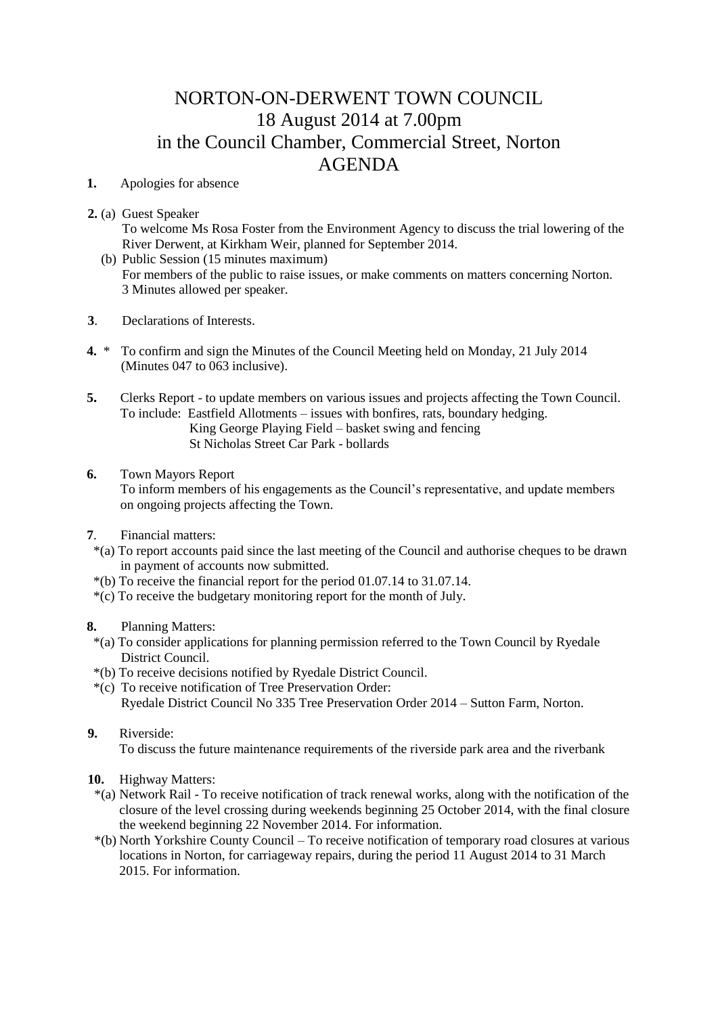## NORTON-ON-DERWENT TOWN COUNCIL 18 August 2014 at 7.00pm in the Council Chamber, Commercial Street, Norton AGENDA

**1.** Apologies for absence

**2.** (a) Guest Speaker

To welcome Ms Rosa Foster from the Environment Agency to discuss the trial lowering of the River Derwent, at Kirkham Weir, planned for September 2014.

- (b) Public Session (15 minutes maximum) For members of the public to raise issues, or make comments on matters concerning Norton. 3 Minutes allowed per speaker.
- **3**. Declarations of Interests.
- **4.** \* To confirm and sign the Minutes of the Council Meeting held on Monday, 21 July 2014 (Minutes 047 to 063 inclusive).
- **5.** Clerks Report to update members on various issues and projects affecting the Town Council. To include: Eastfield Allotments – issues with bonfires, rats, boundary hedging. King George Playing Field – basket swing and fencing St Nicholas Street Car Park - bollards
- **6.** Town Mayors Report To inform members of his engagements as the Council's representative, and update members on ongoing projects affecting the Town.
- **7**. Financial matters:
- \*(a) To report accounts paid since the last meeting of the Council and authorise cheques to be drawn in payment of accounts now submitted.
- \*(b) To receive the financial report for the period 01.07.14 to 31.07.14.
- \*(c) To receive the budgetary monitoring report for the month of July.

## **8.** Planning Matters:

- \*(a) To consider applications for planning permission referred to the Town Council by Ryedale District Council.
- \*(b) To receive decisions notified by Ryedale District Council.
- \*(c) To receive notification of Tree Preservation Order: Ryedale District Council No 335 Tree Preservation Order 2014 – Sutton Farm, Norton.
- **9.** Riverside:

To discuss the future maintenance requirements of the riverside park area and the riverbank

- **10.** Highway Matters:
- \*(a) Network Rail To receive notification of track renewal works, along with the notification of the closure of the level crossing during weekends beginning 25 October 2014, with the final closure the weekend beginning 22 November 2014. For information.
- \*(b) North Yorkshire County Council To receive notification of temporary road closures at various locations in Norton, for carriageway repairs, during the period 11 August 2014 to 31 March 2015. For information.